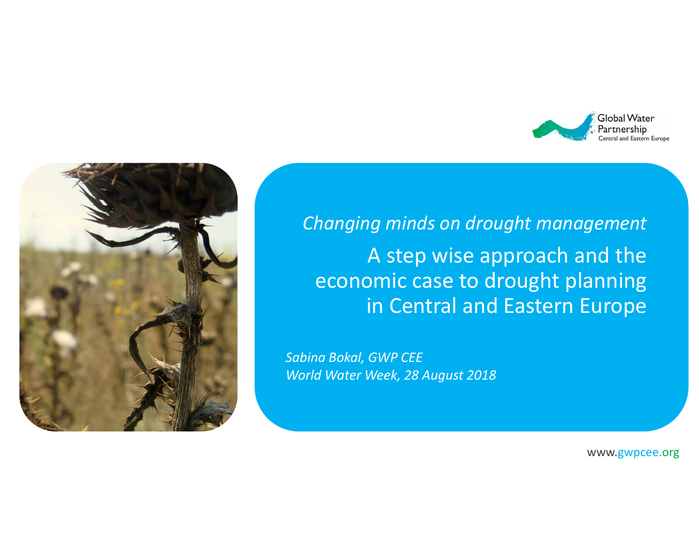



*Changing minds on drought management*A step wise approach and the economic case to drought planning in Central and Eastern Europe

*Sabina Bokal, GWP CEEWorld Water Week, 28 August <sup>2018</sup>*

www.gwpcee.org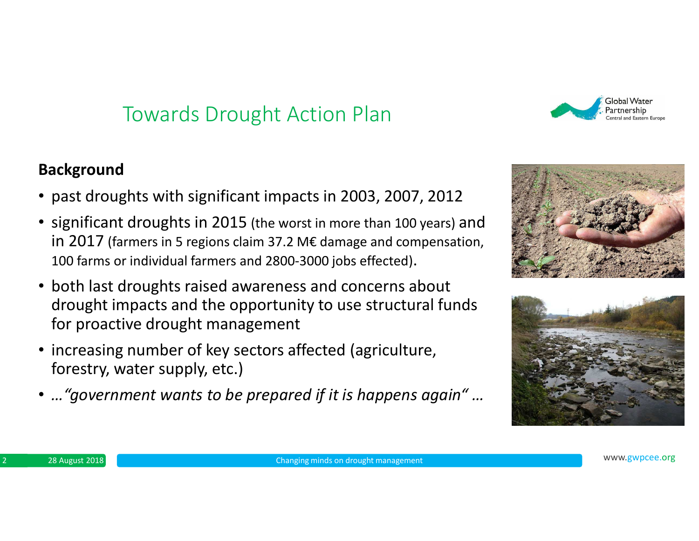## Towards Drought Action Plan

#### **Background**

- past droughts with significant impacts in 2003, 2007, 2012
- significant droughts in 2015 (the worst in more than 100 years) and in 2017 (farmers in 5 regions claim 37.2 M€ damage and compensation, 100 farms or individual farmers and 2800-3000 jobs effected).
- both last droughts raised awareness and concerns about drought impacts and the opportunity to use structural funds for proactive drought management
- increasing number of key sectors affected (agriculture, forestry, water supply, etc.)
- *…"government wants to be prepared if it is happens again" …*





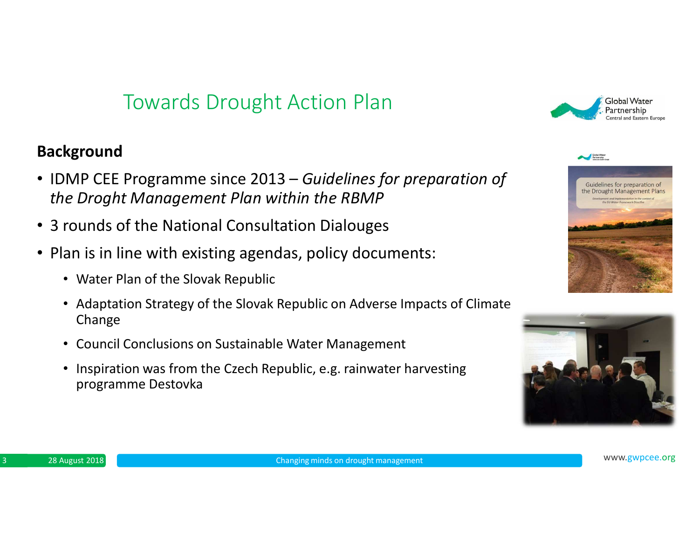## Towards Drought Action Plan

#### **Background**

- IDMP CEE Programme since 2013 *Guidelines for preparation of the Droght Management Plan within the RBMP*
- 3 rounds of the National Consultation Dialouges
- Plan is in line with existing agendas, policy documents:
	- Water Plan of the Slovak Republic
	- Adaptation Strategy of the Slovak Republic on Adverse Impacts of Climate Change
	- Council Conclusions on Sustainable Water Management
	- Inspiration was from the Czech Republic, e.g. rainwater harvesting programme Destovka





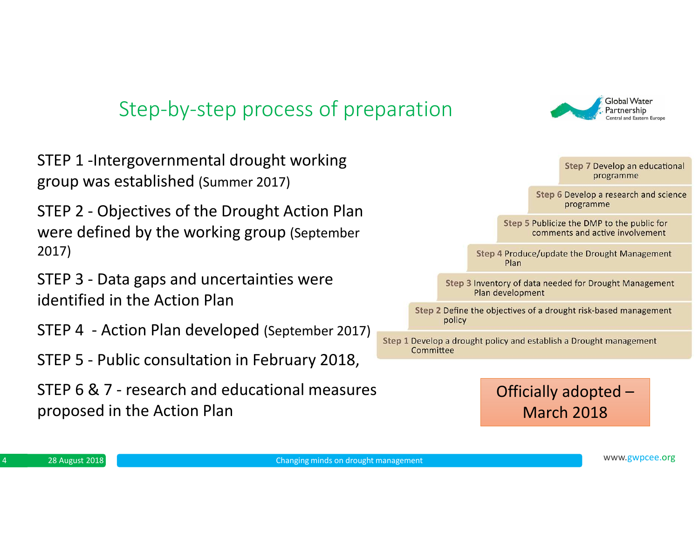## Step-by-step process of preparation

STEP 1 -Intergovernmental drought working group was established (Summer 2017)

STEP 2 - Objectives of the Drought Action Plan were defined by the working group (September 2017)

STEP 3 - Data gaps and uncertainties were identified in the Action Plan

STEP 4 - Action Plan developed (September 2017)

STEP 5 - Public consultation in February 2018,

STEP 6 & 7 - research and educational measures proposed in the Action Plan



![](_page_3_Picture_8.jpeg)

Global Water Partnership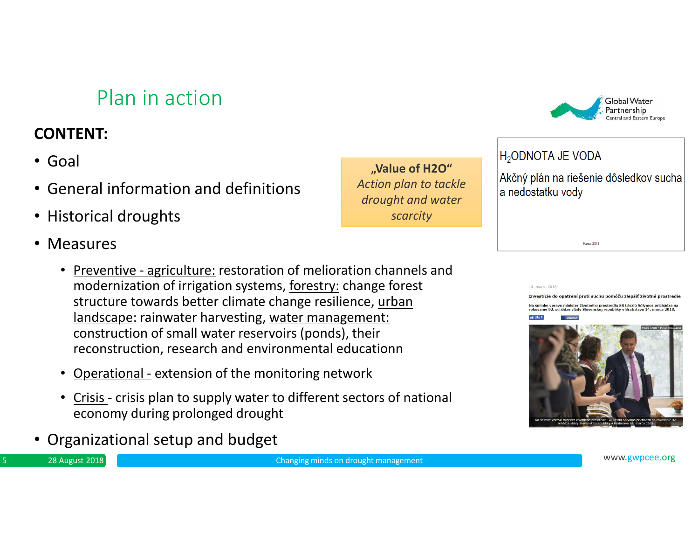## Plan in action

## **CONTENT:**

- Goal
- •General information and definitions
- $\bullet$ Historical droughts
- Measures

<sup>28</sup> August <sup>2018</sup>

- Preventive agriculture: restoration of melioration channels and modernization of irrigation systems, forestry: change forest structure towards better climate change resilience, urban landscape: rainwater harvesting, water management: construction of small water reservoirs (ponds), their reconstruction, research and environmental educationn
- $\bullet$ Operational - extension of the monitoring network
- Crisis crisis plan to supply water to different sectors of national economy during prolonged drought
- •Organizational setup and budget

**"Value of H2O"** *Action plan to tackle drought and water scarcity*

![](_page_4_Picture_11.jpeg)

#### H<sub>2</sub>ODNOTA JE VODA

Akčný plán na riešenie dôsledkov sucha a nedostatku vody

Marec 2018

#### 14, marca 2018

Investície do opatrení proti suchu pomôžu zlepšiť životné prostredi Na snímke vpravo minister životného prostredia SR László Sólymos prichádza na n minster zivotneho prostredni siv Eustio Solymos<br>iõdze vlády Slovenskei republiky v Bratislave 14. i

![](_page_4_Picture_16.jpeg)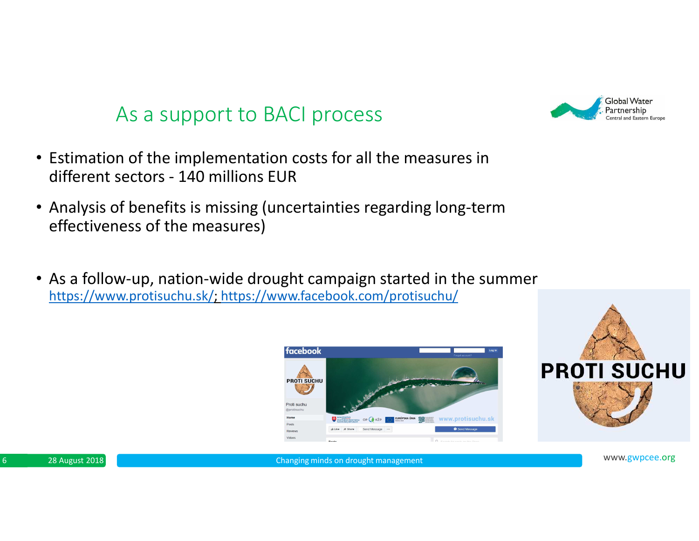## As a support to BACI process

- Estimation of the implementation costs for all the measures in different sectors - 140 millions EUR
- Analysis of benefits is missing (uncertainties regarding long-term effectiveness of the measures)
- As a follow-up, nation-wide drought campaign started in the summer https://www.protisuchu.sk/; https://www.facebook.com/protisuchu/

![](_page_5_Picture_4.jpeg)

![](_page_5_Picture_5.jpeg)

![](_page_5_Picture_6.jpeg)

6 and 28 August 2018 **MWW.gwpcee.org 6 and 28 August 2018** MWW.gwpcee.org 6 and 28 August 2018 **6 and 28 August 2018** 

![](_page_5_Picture_9.jpeg)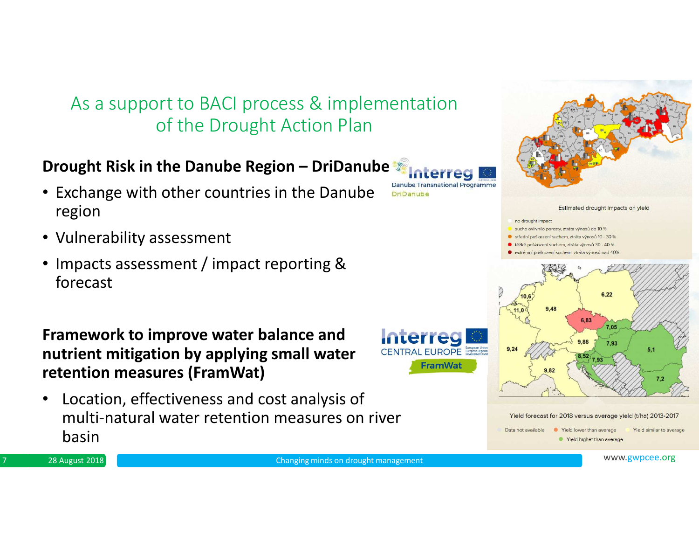## As a support to BACI process & implementation of the Drought Action Plan

### **Drought Risk in the Danube Region – DriDanube**

- Exchange with other countries in the Danube region
- Vulnerability assessment
- Impacts assessment / impact reporting & forecast

**Framework to improve water balance and nutrient mitigation by applying small water retention measures (FramWat)**

• Location, effectiveness and cost analysis of multi-natural water retention measures on river basin

![](_page_6_Picture_7.jpeg)

**CENTRAL EUROPE** 

![](_page_6_Figure_8.jpeg)

![](_page_6_Figure_9.jpeg)

<sup>28</sup> August <sup>2018</sup>